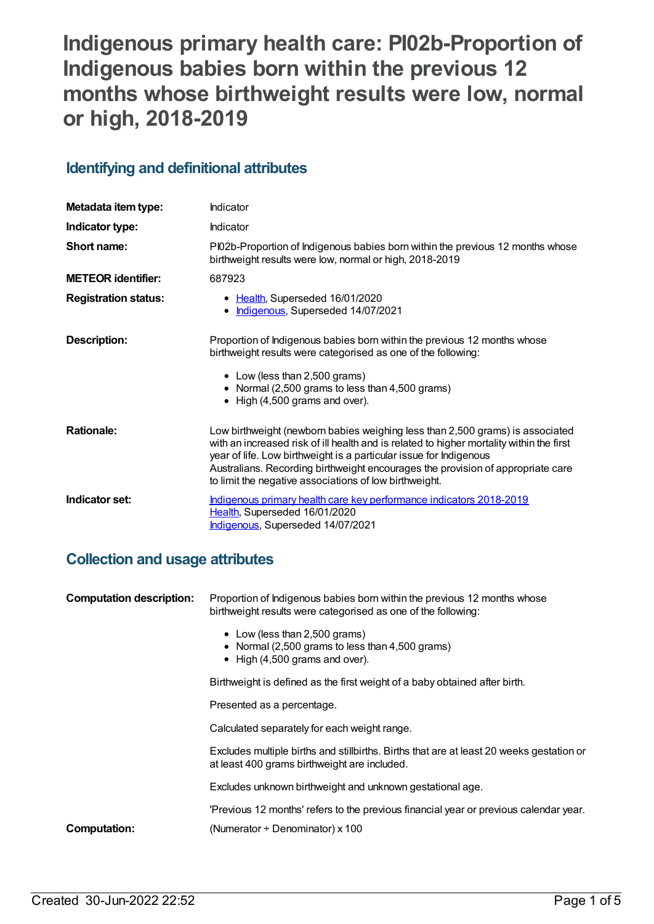# **Indigenous primary health care: PI02b-Proportion of Indigenous babies born within the previous 12 months whose birthweight results were low, normal or high, 2018-2019**

### **Identifying and definitional attributes**

| Metadata item type:         | Indicator                                                                                                                                                                                                                                                                                                                                                                                    |
|-----------------------------|----------------------------------------------------------------------------------------------------------------------------------------------------------------------------------------------------------------------------------------------------------------------------------------------------------------------------------------------------------------------------------------------|
| Indicator type:             | Indicator                                                                                                                                                                                                                                                                                                                                                                                    |
| Short name:                 | PI02b-Proportion of Indigenous babies born within the previous 12 months whose<br>birthweight results were low, normal or high, 2018-2019                                                                                                                                                                                                                                                    |
| <b>METEOR</b> identifier:   | 687923                                                                                                                                                                                                                                                                                                                                                                                       |
| <b>Registration status:</b> | • Health, Superseded 16/01/2020<br>• Indigenous, Superseded 14/07/2021                                                                                                                                                                                                                                                                                                                       |
| Description:                | Proportion of Indigenous babies born within the previous 12 months whose<br>birthweight results were categorised as one of the following:<br>• Low (less than 2,500 grams)<br>• Normal (2,500 grams to less than 4,500 grams)<br>• High (4,500 grams and over).                                                                                                                              |
| <b>Rationale:</b>           | Low birthweight (newborn babies weighing less than 2,500 grams) is associated<br>with an increased risk of ill health and is related to higher mortality within the first<br>year of life. Low birthweight is a particular issue for Indigenous<br>Australians. Recording birthweight encourages the provision of appropriate care<br>to limit the negative associations of low birthweight. |
| Indicator set:              | Indigenous primary health care key performance indicators 2018-2019<br>Health, Superseded 16/01/2020<br>Indigenous, Superseded 14/07/2021                                                                                                                                                                                                                                                    |

### **Collection and usage attributes**

| <b>Computation description:</b> | Proportion of Indigenous babies born within the previous 12 months whose<br>birthweight results were categorised as one of the following: |
|---------------------------------|-------------------------------------------------------------------------------------------------------------------------------------------|
|                                 | • Low (less than 2,500 grams)<br>• Normal (2,500 grams to less than 4,500 grams)<br>$\bullet$ High (4,500 grams and over).                |
|                                 | Birthweight is defined as the first weight of a baby obtained after birth.                                                                |
|                                 | Presented as a percentage.                                                                                                                |
|                                 | Calculated separately for each weight range.                                                                                              |
|                                 | Excludes multiple births and stillbirths. Births that are at least 20 weeks gestation or<br>at least 400 grams birthweight are included.  |
|                                 | Excludes unknown birthweight and unknown gestational age.                                                                                 |
|                                 | 'Previous 12 months' refers to the previous financial year or previous calendar year.                                                     |
| <b>Computation:</b>             | (Numerator $\div$ Denominator) x 100                                                                                                      |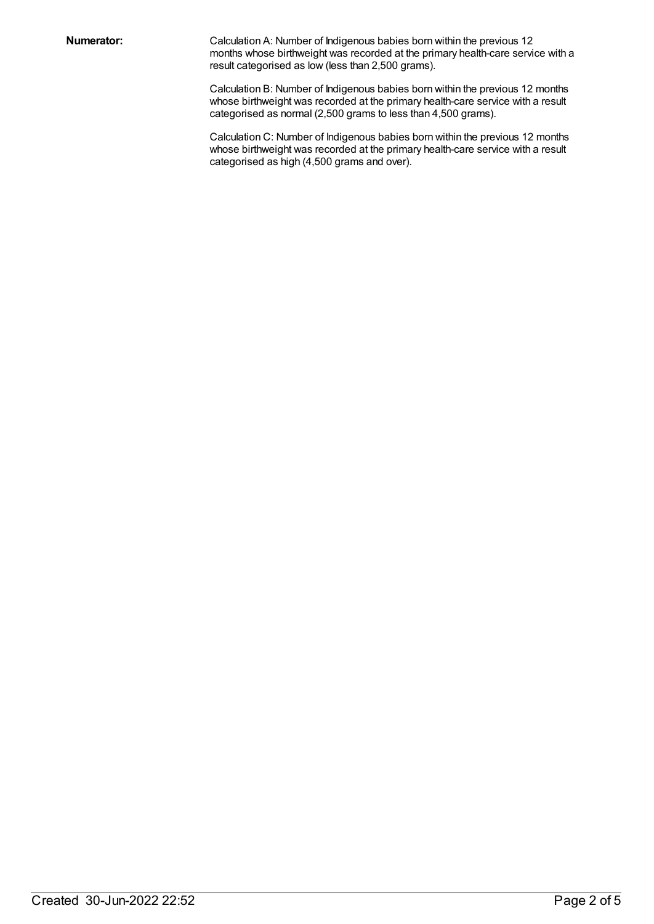**Numerator:** Calculation A: Number of Indigenous babies born within the previous 12 months whose birthweight was recorded at the primary health-care service with a result categorised as low (less than 2,500 grams).

> Calculation B: Number of Indigenous babies born within the previous 12 months whose birthweight was recorded at the primary health-care service with a result categorised as normal (2,500 grams to less than 4,500 grams).

> Calculation C: Number of Indigenous babies born within the previous 12 months whose birthweight was recorded at the primary health-care service with a result categorised as high (4,500 grams and over).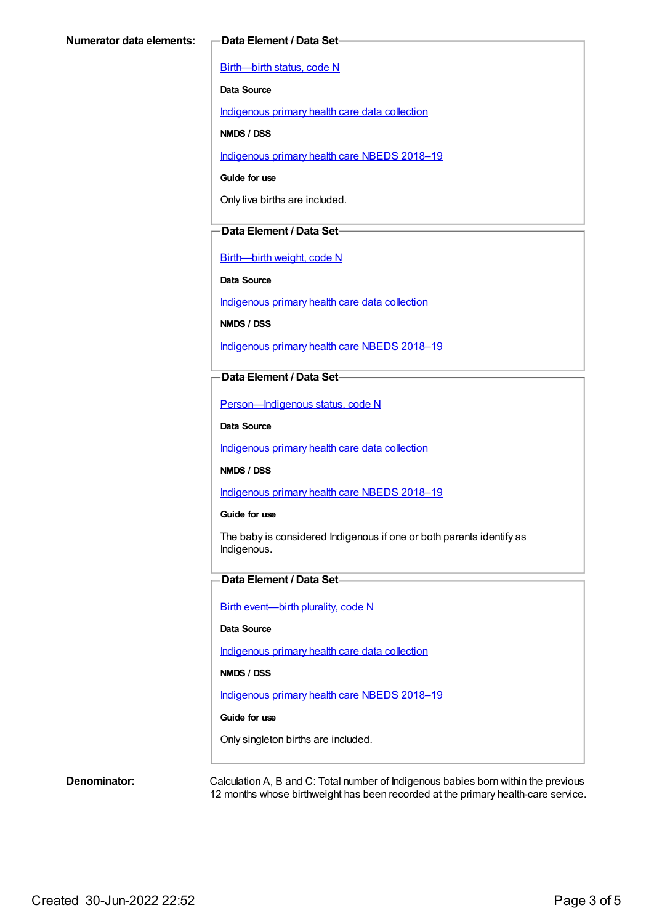[Birth—birth](https://meteor.aihw.gov.au/content/269949) status, code N

**Data Source**

[Indigenous](https://meteor.aihw.gov.au/content/430643) primary health care data collection

**NMDS / DSS**

[Indigenous](https://meteor.aihw.gov.au/content/694101) primary health care NBEDS 2018–19

**Guide for use**

Only live births are included.

#### **Data Element / Data Set**

[Birth—birth](https://meteor.aihw.gov.au/content/459938) weight, code N

**Data Source**

[Indigenous](https://meteor.aihw.gov.au/content/430643) primary health care data collection

**NMDS / DSS**

[Indigenous](https://meteor.aihw.gov.au/content/694101) primary health care NBEDS 2018–19

**Data Element / Data Set**

[Person—Indigenous](https://meteor.aihw.gov.au/content/602543) status, code N

**Data Source**

[Indigenous](https://meteor.aihw.gov.au/content/430643) primary health care data collection

**NMDS / DSS**

[Indigenous](https://meteor.aihw.gov.au/content/694101) primary health care NBEDS 2018–19

**Guide for use**

The baby is considered Indigenous if one or both parents identify as Indigenous.

#### **Data Element / Data Set**

Birth [event—birth](https://meteor.aihw.gov.au/content/668881) plurality, code N

#### **Data Source**

[Indigenous](https://meteor.aihw.gov.au/content/430643) primary health care data collection

**NMDS / DSS**

[Indigenous](https://meteor.aihw.gov.au/content/694101) primary health care NBEDS 2018-19

#### **Guide for use**

Only singleton births are included.

**Denominator:** Calculation A, B and C: Total number of Indigenous babies born within the previous 12 months whose birthweight has been recorded at the primary health-care service.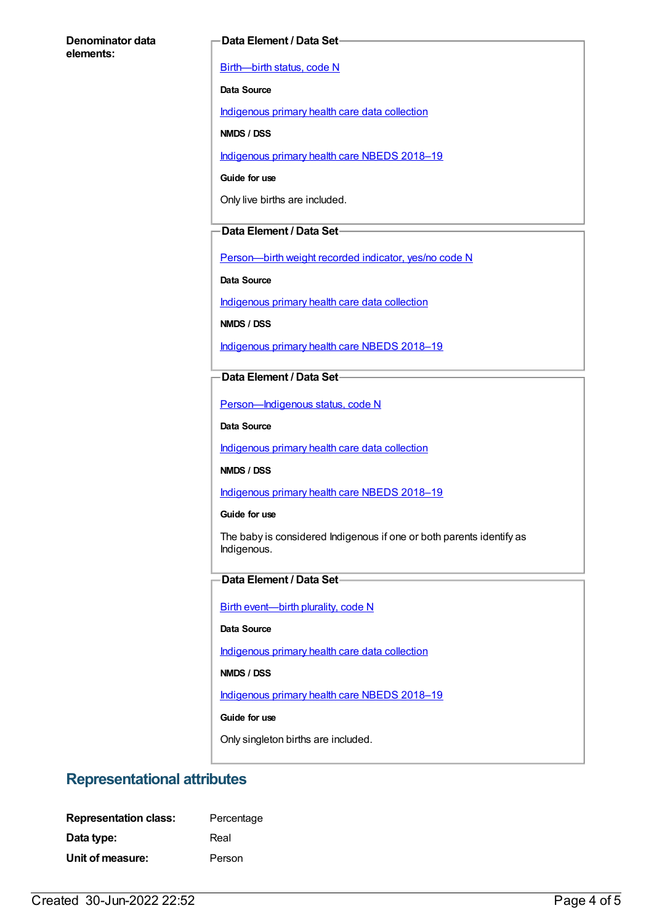#### **Denominator data elements:**

#### **Data Element / Data Set**

[Birth—birth](https://meteor.aihw.gov.au/content/269949) status, code N

**Data Source**

[Indigenous](https://meteor.aihw.gov.au/content/430643) primary health care data collection

**NMDS / DSS**

[Indigenous](https://meteor.aihw.gov.au/content/694101) primary health care NBEDS 2018-19

**Guide for use**

Only live births are included.

#### **Data Element / Data Set**

Person-birth weight recorded indicator, yes/no code N

**Data Source**

[Indigenous](https://meteor.aihw.gov.au/content/430643) primary health care data collection

**NMDS / DSS**

[Indigenous](https://meteor.aihw.gov.au/content/694101) primary health care NBEDS 2018–19

**Data Element / Data Set**

[Person—Indigenous](https://meteor.aihw.gov.au/content/602543) status, code N

**Data Source**

[Indigenous](https://meteor.aihw.gov.au/content/430643) primary health care data collection

**NMDS / DSS**

[Indigenous](https://meteor.aihw.gov.au/content/694101) primary health care NBEDS 2018-19

**Guide for use**

The baby is considered Indigenous if one or both parents identify as Indigenous.

### **Data Element / Data Set**

Birth [event—birth](https://meteor.aihw.gov.au/content/668881) plurality, code N

**Data Source**

[Indigenous](https://meteor.aihw.gov.au/content/430643) primary health care data collection

**NMDS / DSS**

[Indigenous](https://meteor.aihw.gov.au/content/694101) primary health care NBEDS 2018-19

**Guide for use**

Only singleton births are included.

### **Representational attributes**

| <b>Representation class:</b> | Percentage |
|------------------------------|------------|
| Data type:                   | Real       |
| Unit of measure:             | Person     |